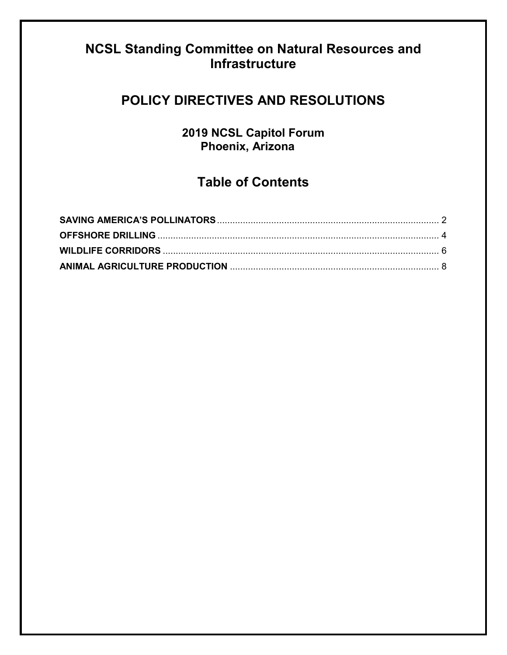# <span id="page-0-0"></span>**NCSL Standing Committee on Natural Resources and Infrastructure**

# **POLICY DIRECTIVES AND RESOLUTIONS**

**2019 NCSL Capitol Forum Phoenix, Arizona**

# **Table of Contents**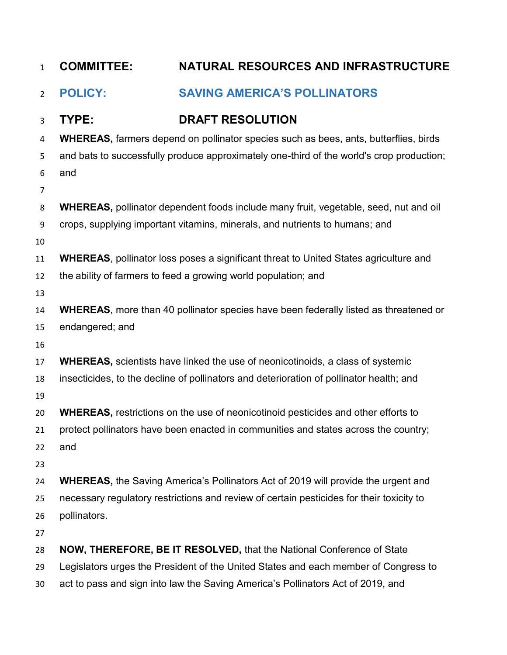<span id="page-1-0"></span>

| $\mathbf{1}$   | <b>COMMITTEE:</b> | NATURAL RESOURCES AND INFRASTRUCTURE                                                        |
|----------------|-------------------|---------------------------------------------------------------------------------------------|
| $\overline{2}$ | <b>POLICY:</b>    | <b>SAVING AMERICA'S POLLINATORS</b>                                                         |
| 3              | TYPE:             | <b>DRAFT RESOLUTION</b>                                                                     |
| 4              |                   | <b>WHEREAS, farmers depend on pollinator species such as bees, ants, butterflies, birds</b> |
| 5              |                   | and bats to successfully produce approximately one-third of the world's crop production;    |
| 6              | and               |                                                                                             |
| $\overline{7}$ |                   |                                                                                             |
| 8              |                   | WHEREAS, pollinator dependent foods include many fruit, vegetable, seed, nut and oil        |
| 9              |                   | crops, supplying important vitamins, minerals, and nutrients to humans; and                 |
| 10             |                   |                                                                                             |
| 11             |                   | <b>WHEREAS, pollinator loss poses a significant threat to United States agriculture and</b> |
| 12             |                   | the ability of farmers to feed a growing world population; and                              |
| 13             |                   |                                                                                             |
| 14             |                   | <b>WHEREAS, more than 40 pollinator species have been federally listed as threatened or</b> |
| 15             | endangered; and   |                                                                                             |
| 16             |                   |                                                                                             |
| 17             |                   | <b>WHEREAS, scientists have linked the use of neonicotinoids, a class of systemic</b>       |
| 18             |                   | insecticides, to the decline of pollinators and deterioration of pollinator health; and     |
| 19             |                   |                                                                                             |
| 20             |                   | <b>WHEREAS, restrictions on the use of neonicotinoid pesticides and other efforts to</b>    |
| 21<br>22       | and               | protect pollinators have been enacted in communities and states across the country;         |
| 23             |                   |                                                                                             |
| 24             |                   | <b>WHEREAS, the Saving America's Pollinators Act of 2019 will provide the urgent and</b>    |
| 25             |                   | necessary regulatory restrictions and review of certain pesticides for their toxicity to    |
| 26             | pollinators.      |                                                                                             |
| 27             |                   |                                                                                             |
| 28             |                   | NOW, THEREFORE, BE IT RESOLVED, that the National Conference of State                       |
| 29             |                   | Legislators urges the President of the United States and each member of Congress to         |
| 30             |                   | act to pass and sign into law the Saving America's Pollinators Act of 2019, and             |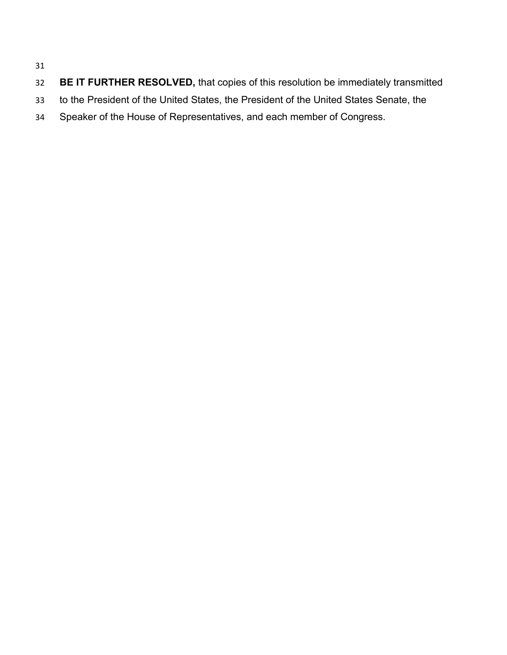#### 

- **BE IT FURTHER RESOLVED,** that copies of this resolution be immediately transmitted
- to the President of the United States, the President of the United States Senate, the
- Speaker of the House of Representatives, and each member of Congress.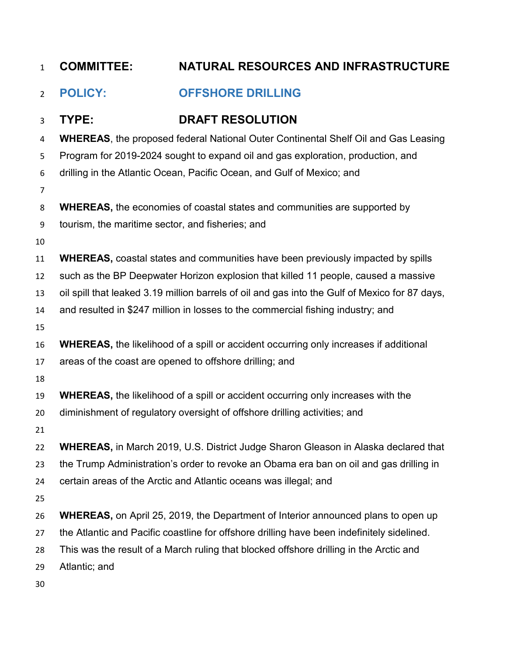<span id="page-3-0"></span>

| $\mathbf{1}$   | <b>COMMITTEE:</b>                                | NATURAL RESOURCES AND INFRASTRUCTURE                                                           |
|----------------|--------------------------------------------------|------------------------------------------------------------------------------------------------|
| $\overline{2}$ | <b>POLICY:</b>                                   | <b>OFFSHORE DRILLING</b>                                                                       |
| 3              | TYPE:                                            | <b>DRAFT RESOLUTION</b>                                                                        |
| 4              |                                                  | <b>WHEREAS, the proposed federal National Outer Continental Shelf Oil and Gas Leasing</b>      |
| 5              |                                                  | Program for 2019-2024 sought to expand oil and gas exploration, production, and                |
| 6              |                                                  | drilling in the Atlantic Ocean, Pacific Ocean, and Gulf of Mexico; and                         |
| $\overline{7}$ |                                                  |                                                                                                |
| 8              |                                                  | <b>WHEREAS, the economies of coastal states and communities are supported by</b>               |
| 9              | tourism, the maritime sector, and fisheries; and |                                                                                                |
| 10             |                                                  |                                                                                                |
| 11             |                                                  | <b>WHEREAS, coastal states and communities have been previously impacted by spills</b>         |
| 12             |                                                  | such as the BP Deepwater Horizon explosion that killed 11 people, caused a massive             |
| 13             |                                                  | oil spill that leaked 3.19 million barrels of oil and gas into the Gulf of Mexico for 87 days, |
| 14             |                                                  | and resulted in \$247 million in losses to the commercial fishing industry; and                |
| 15             |                                                  |                                                                                                |
| 16             |                                                  | <b>WHEREAS, the likelihood of a spill or accident occurring only increases if additional</b>   |
| 17             |                                                  | areas of the coast are opened to offshore drilling; and                                        |
| 18             |                                                  |                                                                                                |
| 19             |                                                  | <b>WHEREAS, the likelihood of a spill or accident occurring only increases with the</b>        |
| 20             |                                                  | diminishment of regulatory oversight of offshore drilling activities; and                      |
| 21             |                                                  |                                                                                                |
| 22             |                                                  | <b>WHEREAS, in March 2019, U.S. District Judge Sharon Gleason in Alaska declared that</b>      |
| 23             |                                                  | the Trump Administration's order to revoke an Obama era ban on oil and gas drilling in         |
| 24             |                                                  | certain areas of the Arctic and Atlantic oceans was illegal; and                               |
| 25             |                                                  |                                                                                                |
| 26             |                                                  | <b>WHEREAS, on April 25, 2019, the Department of Interior announced plans to open up</b>       |
| 27             |                                                  | the Atlantic and Pacific coastline for offshore drilling have been indefinitely sidelined.     |
| 28             |                                                  | This was the result of a March ruling that blocked offshore drilling in the Arctic and         |
| 29             | Atlantic; and                                    |                                                                                                |
| 30             |                                                  |                                                                                                |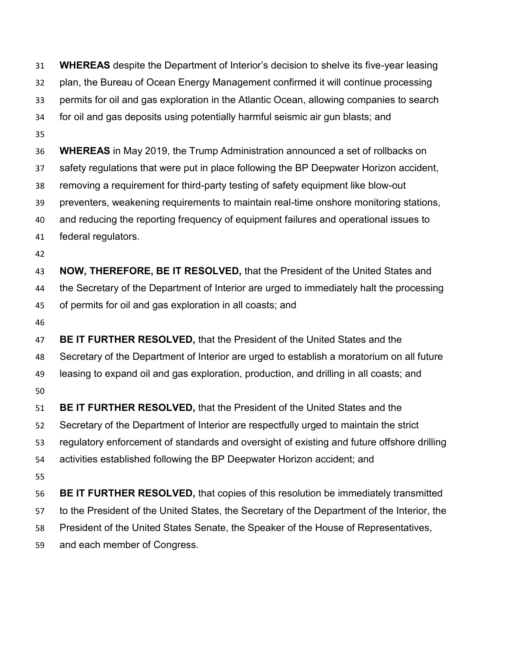**WHEREAS** despite the Department of Interior's decision to shelve its five-year leasing plan, the Bureau of Ocean Energy Management confirmed it will continue processing permits for oil and gas exploration in the Atlantic Ocean, allowing companies to search for oil and gas deposits using potentially harmful seismic air gun blasts; and **WHEREAS** in May 2019, the Trump Administration announced a set of rollbacks on safety regulations that were put in place following the BP Deepwater Horizon accident, removing a requirement for third-party testing of safety equipment like blow-out preventers, weakening requirements to maintain real-time onshore monitoring stations, and reducing the reporting frequency of equipment failures and operational issues to federal regulators. **NOW, THEREFORE, BE IT RESOLVED,** that the President of the United States and the Secretary of the Department of Interior are urged to immediately halt the processing of permits for oil and gas exploration in all coasts; and **BE IT FURTHER RESOLVED,** that the President of the United States and the Secretary of the Department of Interior are urged to establish a moratorium on all future leasing to expand oil and gas exploration, production, and drilling in all coasts; and **BE IT FURTHER RESOLVED,** that the President of the United States and the Secretary of the Department of Interior are respectfully urged to maintain the strict regulatory enforcement of standards and oversight of existing and future offshore drilling activities established following the BP Deepwater Horizon accident; and **BE IT FURTHER RESOLVED,** that copies of this resolution be immediately transmitted to the President of the United States, the Secretary of the Department of the Interior, the President of the United States Senate, the Speaker of the House of Representatives, and each member of Congress.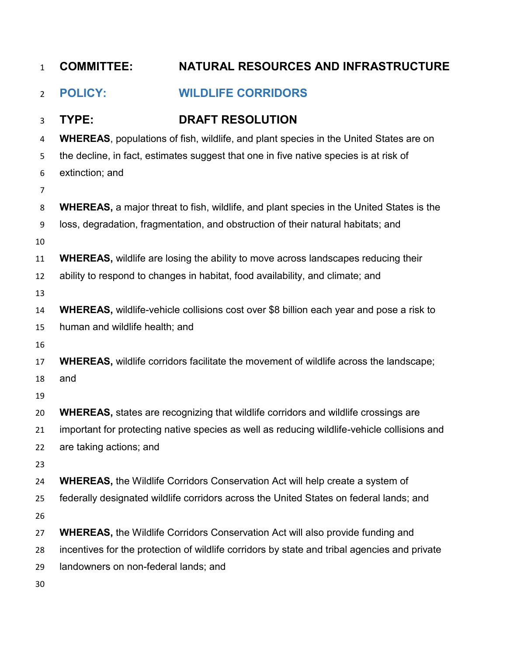<span id="page-5-0"></span>

| $\mathbf{1}$   | <b>COMMITTEE:</b>                    | NATURAL RESOURCES AND INFRASTRUCTURE                                                            |
|----------------|--------------------------------------|-------------------------------------------------------------------------------------------------|
| $\overline{2}$ | <b>POLICY:</b>                       | <b>WILDLIFE CORRIDORS</b>                                                                       |
| 3              | TYPE:                                | <b>DRAFT RESOLUTION</b>                                                                         |
| 4              |                                      | <b>WHEREAS, populations of fish, wildlife, and plant species in the United States are on</b>    |
| 5              |                                      | the decline, in fact, estimates suggest that one in five native species is at risk of           |
| 6              | extinction; and                      |                                                                                                 |
| $\overline{7}$ |                                      |                                                                                                 |
| 8              |                                      | <b>WHEREAS,</b> a major threat to fish, wildlife, and plant species in the United States is the |
| 9              |                                      | loss, degradation, fragmentation, and obstruction of their natural habitats; and                |
| 10             |                                      |                                                                                                 |
| 11             |                                      | <b>WHEREAS, wildlife are losing the ability to move across landscapes reducing their</b>        |
| 12             |                                      | ability to respond to changes in habitat, food availability, and climate; and                   |
| 13             |                                      |                                                                                                 |
| 14             |                                      | WHEREAS, wildlife-vehicle collisions cost over \$8 billion each year and pose a risk to         |
| 15             | human and wildlife health; and       |                                                                                                 |
| 16             |                                      |                                                                                                 |
| 17             |                                      | <b>WHEREAS, wildlife corridors facilitate the movement of wildlife across the landscape;</b>    |
| 18             | and                                  |                                                                                                 |
| 19             |                                      |                                                                                                 |
| 20             |                                      | <b>WHEREAS, states are recognizing that wildlife corridors and wildlife crossings are</b>       |
| 21             |                                      | important for protecting native species as well as reducing wildlife-vehicle collisions and     |
| 22             | are taking actions; and              |                                                                                                 |
| 23             |                                      | <b>WHEREAS, the Wildlife Corridors Conservation Act will help create a system of</b>            |
| 24             |                                      | federally designated wildlife corridors across the United States on federal lands; and          |
| 25<br>26       |                                      |                                                                                                 |
| 27             |                                      | <b>WHEREAS, the Wildlife Corridors Conservation Act will also provide funding and</b>           |
| 28             |                                      | incentives for the protection of wildlife corridors by state and tribal agencies and private    |
| 29             | landowners on non-federal lands; and |                                                                                                 |
| 30             |                                      |                                                                                                 |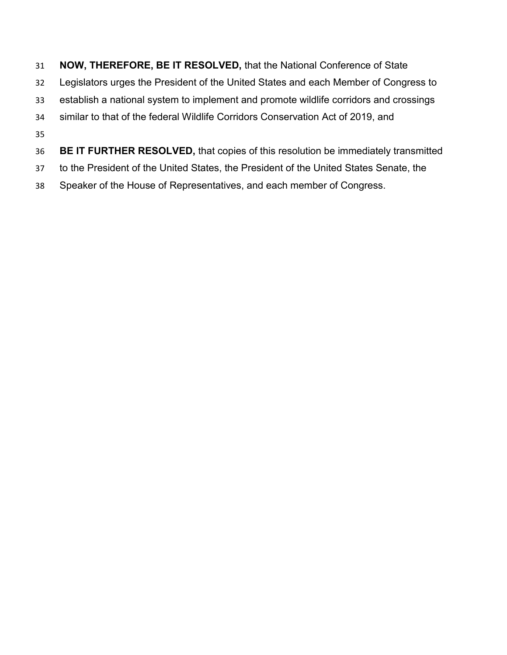- **NOW, THEREFORE, BE IT RESOLVED,** that the National Conference of State Legislators urges the President of the United States and each Member of Congress to establish a national system to implement and promote wildlife corridors and crossings similar to that of the federal Wildlife Corridors Conservation Act of 2019, and **BE IT FURTHER RESOLVED,** that copies of this resolution be immediately transmitted
- to the President of the United States, the President of the United States Senate, the
- Speaker of the House of Representatives, and each member of Congress.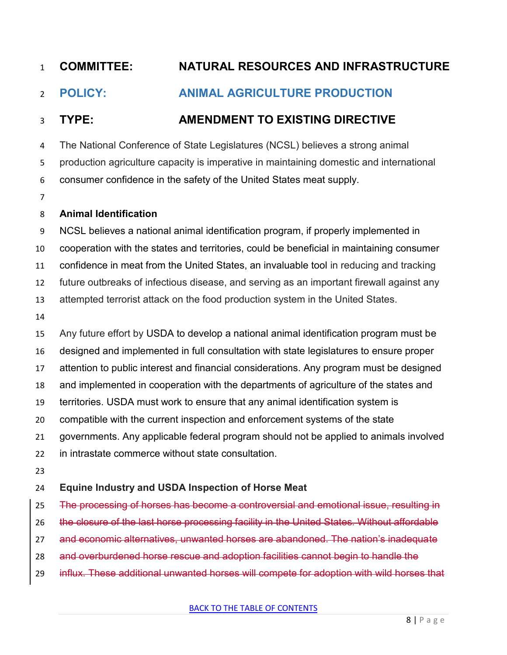# **COMMITTEE: NATURAL RESOURCES AND INFRASTRUCTURE**

### <span id="page-7-0"></span>**POLICY: ANIMAL AGRICULTURE PRODUCTION**

#### **TYPE: AMENDMENT TO EXISTING DIRECTIVE**

 The National Conference of State Legislatures (NCSL) believes a strong animal production agriculture capacity is imperative in maintaining domestic and international consumer confidence in the safety of the United States meat supply.

#### **Animal Identification**

 NCSL believes a national animal identification program, if properly implemented in cooperation with the states and territories, could be beneficial in maintaining consumer confidence in meat from the United States, an invaluable tool in reducing and tracking future outbreaks of infectious disease, and serving as an important firewall against any attempted terrorist attack on the food production system in the United States. Any future effort by USDA to develop a national animal identification program must be designed and implemented in full consultation with state legislatures to ensure proper attention to public interest and financial considerations. Any program must be designed and implemented in cooperation with the departments of agriculture of the states and territories. USDA must work to ensure that any animal identification system is compatible with the current inspection and enforcement systems of the state

governments. Any applicable federal program should not be applied to animals involved

- in intrastate commerce without state consultation.
- 

#### **Equine Industry and USDA Inspection of Horse Meat**

25 The processing of horses has become a controversial and emotional issue, resulting in

26 the closure of the last horse processing facility in the United States. Without affordable

- and economic alternatives, unwanted horses are abandoned. The nation's inadequate
- and overburdened horse rescue and adoption facilities cannot begin to handle the
- influx. These additional unwanted horses will compete for adoption with wild horses that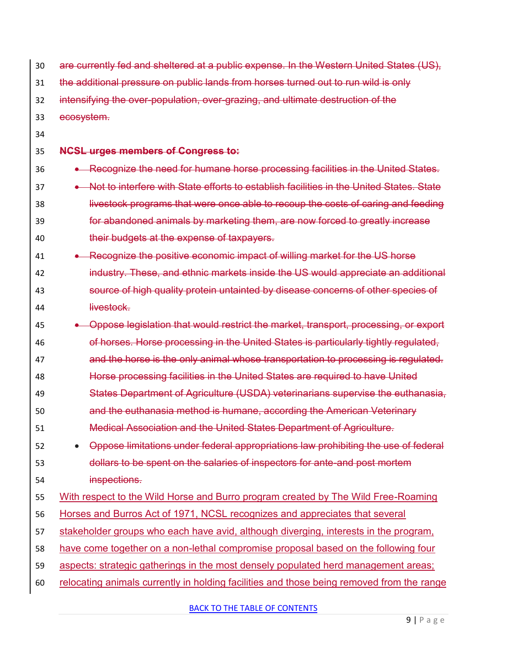| 30 | are currently fed and sheltered at a public expense. In the Western United States (US),   |
|----|-------------------------------------------------------------------------------------------|
| 31 | the additional pressure on public lands from horses turned out to run wild is only        |
| 32 | intensifying the over-population, over-grazing, and ultimate destruction of the           |
| 33 | ecosystem.                                                                                |
| 34 |                                                                                           |
| 35 | <b>NCSL urges members of Congress to:</b>                                                 |
| 36 | • Recognize the need for humane horse processing facilities in the United States.         |
| 37 | Not to interfere with State efforts to establish facilities in the United States. State   |
| 38 | livestock programs that were once able to recoup the costs of caring and feeding          |
| 39 | for abandoned animals by marketing them, are now forced to greatly increase               |
| 40 | their budgets at the expense of taxpayers.                                                |
| 41 | • Recognize the positive economic impact of willing market for the US horse               |
| 42 | industry. These, and ethnic markets inside the US would appreciate an additional          |
| 43 | source of high quality protein untainted by disease concerns of other species of          |
| 44 | livestock.                                                                                |
| 45 | Oppose legislation that would restrict the market, transport, processing, or export       |
| 46 | of horses. Horse processing in the United States is particularly tightly regulated,       |
| 47 | and the horse is the only animal whose transportation to processing is regulated.         |
| 48 | Horse processing facilities in the United States are required to have United              |
| 49 | States Department of Agriculture (USDA) veterinarians supervise the euthanasia,           |
| 50 | and the euthanasia method is humane, according the American Veterinary                    |
| 51 | Medical Association and the United States Department of Agriculture.                      |
| 52 | Oppose limitations under federal appropriations law prohibiting the use of federal        |
| 53 | dollars to be spent on the salaries of inspectors for ante and post mortem                |
| 54 | inspections.                                                                              |
| 55 | With respect to the Wild Horse and Burro program created by The Wild Free-Roaming         |
| 56 | Horses and Burros Act of 1971, NCSL recognizes and appreciates that several               |
| 57 | stakeholder groups who each have avid, although diverging, interests in the program,      |
| 58 | have come together on a non-lethal compromise proposal based on the following four        |
| 59 | aspects: strategic gatherings in the most densely populated herd management areas;        |
| 60 | relocating animals currently in holding facilities and those being removed from the range |

[BACK TO THE TABLE OF CONTENTS](#page-0-0)